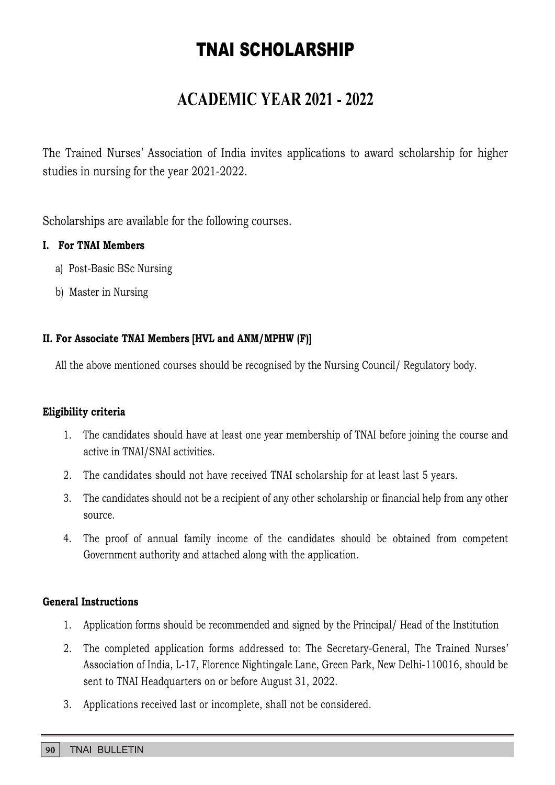## TNAI SCHOLARSHIP

## **ACADEMIC YEAR 2021 - 2022**

The Trained Nurses' Association of India invites applications to award scholarship for higher studies in nursing for the year 2021-2022.

Scholarships are available for the following courses.

### I. For TNAI Members

- a) Post-Basic BSc Nursing
- b) Master in Nursing

### II. For Associate TNAI Members [HVL and ANM/MPHW (F)]

All the above mentioned courses should be recognised by the Nursing Council/ Regulatory body.

#### Eligibility criteria

- **1. The candidates should have at least one year membership of TNAI before in Nursing Master in Nursing Master in Nursing (Master on Master in Nursing Council (Regulatory body.<br>
1. The above mentioned courses should be rec** active in TNAI/SNAI activities.
- 
- **2.** The candidates should not be a recipient of any other scholarship or function courses should be recognised by the Nursing Council/ Regulatory body.<br> **bullity criteria**<br>
1. The candidates should have at least one year source.
- **3. Post-Basic BSc Nursing**<br> **3. The candidates should be recognised by the Nursing Council/ Regulatory body.**<br> **bility criteria**<br>
1. The candidates should have at least one year membership of TNAI before joining the cours **1.** The above mentioned courses should be recognised by the Nursing Council/ Regulatory body.<br> **bility criteria**<br>
1. The candidates should have at least one year membership of TNAI before joining the course and<br>
active in Government authority and attached along with the application.

#### General Instructions

- 
- **bility criteria**<br>
1. The candidates should have at least one year membership of TNAI before joining the course and<br>
active in TNAI/SNAI activities.<br>
2. The candidates should not be a recipient of any other scholarship or 2. The completed application forms addressed to: The Secretary-General, The Trained Nurses Association of India, L-17, Florence Nightingale Lane, Green Park, New Delhi-110016, should be sent to TNAI Headquarters on or before August 31, 2022. 2. The candidates should not have received TNAI scholarship for at leads.<br>
3. The candidates should not be a recipient of any other scholarship or fi<br>
5. The proof of annual family income of the candidates should be<br>
6. Go
-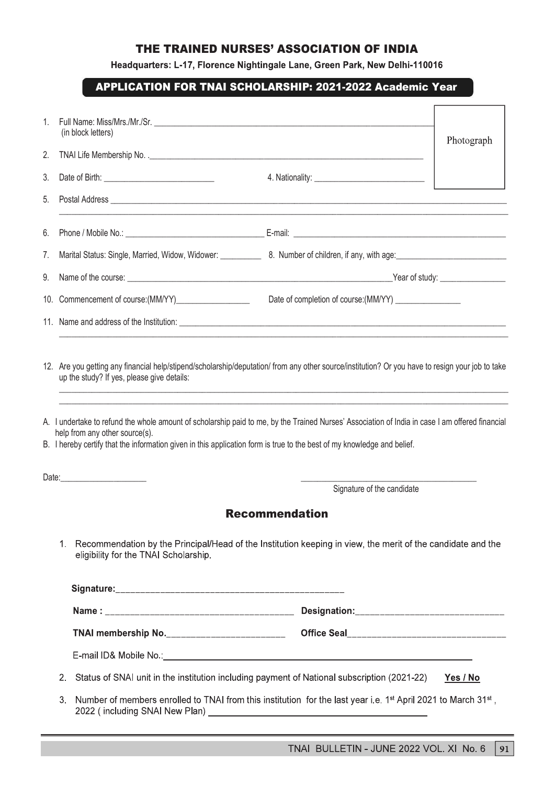### THE TRAINED NURSES' ASSOCIATION OF INDIA

#### APPLICATION FOR TNAI SCHOLARSHIP: 2021-2022 Academic Year

|    |                                                                                                                                                           | THE TRAINED NURSES' ASSOCIATION OF INDIA                                                                              |                 |
|----|-----------------------------------------------------------------------------------------------------------------------------------------------------------|-----------------------------------------------------------------------------------------------------------------------|-----------------|
|    |                                                                                                                                                           |                                                                                                                       |                 |
|    |                                                                                                                                                           |                                                                                                                       |                 |
|    |                                                                                                                                                           |                                                                                                                       |                 |
|    |                                                                                                                                                           | Headquarters: L-17, Florence Nightingale Lane, Green Park, New Delhi-110016                                           |                 |
|    |                                                                                                                                                           | <b>APPLICATION FOR TNAI SCHOLARSHIP: 2021-2022 Academic Year</b>                                                      |                 |
|    |                                                                                                                                                           |                                                                                                                       |                 |
|    | (in block letters)                                                                                                                                        |                                                                                                                       | Photograph      |
|    |                                                                                                                                                           |                                                                                                                       |                 |
|    |                                                                                                                                                           |                                                                                                                       |                 |
|    |                                                                                                                                                           |                                                                                                                       |                 |
|    |                                                                                                                                                           |                                                                                                                       |                 |
|    |                                                                                                                                                           |                                                                                                                       |                 |
|    |                                                                                                                                                           |                                                                                                                       |                 |
|    | 10. Commencement of course: (MM/YY)                                                                                                                       | Date of completion of course: (MM/YY) ________________                                                                |                 |
|    |                                                                                                                                                           |                                                                                                                       |                 |
|    |                                                                                                                                                           |                                                                                                                       |                 |
|    | 12. Are you getting any financial help/stipend/scholarship/deputation/ from any other source/institution? Or you have to resign your job to take          |                                                                                                                       |                 |
|    | up the study? If yes, please give details:                                                                                                                | <u> 1989 - Johann Harry Harry Harry Harry Harry Harry Harry Harry Harry Harry Harry Harry Harry Harry Harry Harry</u> |                 |
|    |                                                                                                                                                           |                                                                                                                       |                 |
|    |                                                                                                                                                           | ,我们也不能在这里的人,我们也不能在这里的人,我们也不能在这里的人,我们也不能在这里的人,我们也不能在这里的人,我们也不能在这里的人,我们也不能在这里的人,我们                                      |                 |
|    | A. I undertake to refund the whole amount of scholarship paid to me, by the Trained Nurses' Association of India in case I am offered financial           |                                                                                                                       |                 |
|    | help from any other source(s).<br>B. I hereby certify that the information given in this application form is true to the best of my knowledge and belief. |                                                                                                                       |                 |
|    |                                                                                                                                                           |                                                                                                                       |                 |
|    |                                                                                                                                                           | Signature of the candidate                                                                                            |                 |
|    |                                                                                                                                                           | <b>Recommendation</b>                                                                                                 |                 |
|    |                                                                                                                                                           |                                                                                                                       |                 |
|    | 1.<br>eligibility for the TNAI Scholarship.                                                                                                               | Recommendation by the Principal/Head of the Institution keeping in view, the merit of the candidate and the           |                 |
|    |                                                                                                                                                           |                                                                                                                       |                 |
|    |                                                                                                                                                           |                                                                                                                       |                 |
|    |                                                                                                                                                           |                                                                                                                       |                 |
|    |                                                                                                                                                           | E-mail ID& Mobile No.: internal and the control of the control of the control of the control of the control of        |                 |
| 2. |                                                                                                                                                           | Status of SNAI unit in the institution including payment of National subscription (2021-22)                           | <u>Yes / No</u> |